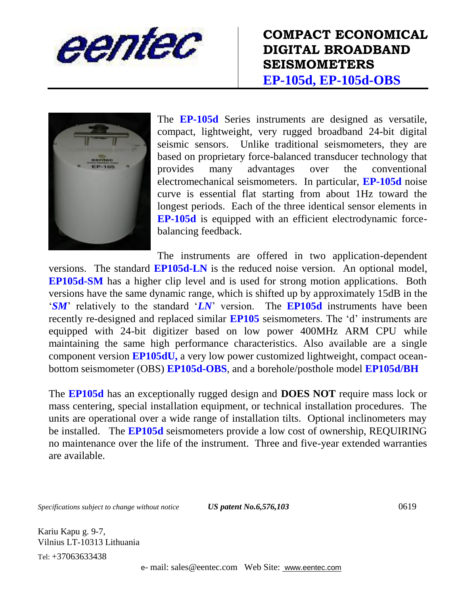





The **EP-105d** Series instruments are designed as versatile, compact, lightweight, very rugged broadband 24-bit digital seismic sensors. Unlike traditional seismometers, they are based on proprietary force-balanced transducer technology that provides many advantages over the conventional electromechanical seismometers. In particular, **EP-105d** noise curve is essential flat starting from about 1Hz toward the longest periods. Each of the three identical sensor elements in **EP-105d** is equipped with an efficient electrodynamic forcebalancing feedback.

The instruments are offered in two application-dependent versions. The standard **EP105d-LN** is the reduced noise version. An optional model, **EP105d-SM** has a higher clip level and is used for strong motion applications. Both versions have the same dynamic range, which is shifted up by approximately 15dB in the '*SM*' relatively to the standard '*LN*' version. The **EP105d** instruments have been recently re-designed and replaced similar **EP105** seismometers. The 'd' instruments are equipped with 24-bit digitizer based on low power 400MHz ARM CPU while maintaining the same high performance characteristics. Also available are a single component version **EP105dU,** a very low power customized lightweight, compact oceanbottom seismometer (OBS) **EP105d-OBS**, and a borehole/posthole model **EP105d/BH**

The **EP105d** has an exceptionally rugged design and **DOES NOT** require mass lock or mass centering, special installation equipment, or technical installation procedures. The units are operational over a wide range of installation tilts. Optional inclinometers may be installed. The **EP105d** seismometers provide a low cost of ownership, REQUIRING no maintenance over the life of the instrument. Three and five-year extended warranties are available.

*Specifications subject to change without notice US patent No.6,576,103* 0619

Kariu Kapu g. 9-7, Vilnius LT-10313 Lithuania Tel: +37063633438

e- mail: sales@eentec.com Web Site: www.eentec.com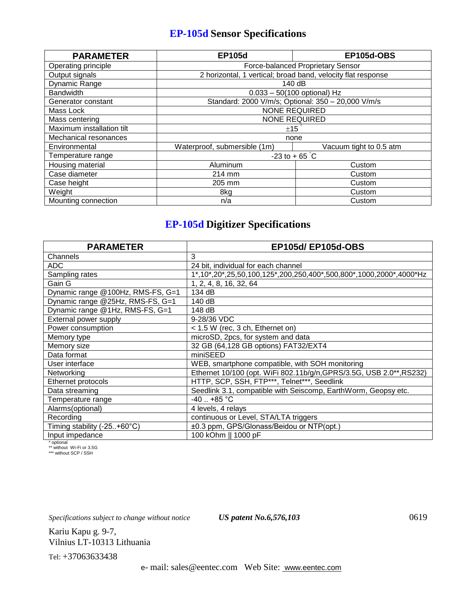## **EP-105d Sensor Specifications**

| <b>PARAMETER</b>          | <b>EP105d</b>                                                | <b>EP105d-OBS</b>       |
|---------------------------|--------------------------------------------------------------|-------------------------|
| Operating principle       | <b>Force-balanced Proprietary Sensor</b>                     |                         |
| Output signals            | 2 horizontal, 1 vertical; broad band, velocity flat response |                         |
| Dynamic Range             | 140 dB                                                       |                         |
| <b>Bandwidth</b>          | $0.033 - 50(100$ optional) Hz                                |                         |
| Generator constant        | Standard: 2000 V/m/s; Optional: 350 - 20,000 V/m/s           |                         |
| Mass Lock                 | <b>NONE REQUIRED</b>                                         |                         |
| Mass centering            | <b>NONE REQUIRED</b>                                         |                         |
| Maximum installation tilt | ±15                                                          |                         |
| Mechanical resonances     | none                                                         |                         |
| Environmental             | Waterproof, submersible (1m)                                 | Vacuum tight to 0.5 atm |
| Temperature range         | $-23$ to + 65 °C                                             |                         |
| Housing material          | Aluminum                                                     | Custom                  |
| Case diameter             | 214 mm                                                       | Custom                  |
| Case height               | 205 mm                                                       | Custom                  |
| Weight                    | 8kg                                                          | Custom                  |
| Mounting connection       | n/a                                                          | Custom                  |

## **EP-105d Digitizer Specifications**

| <b>PARAMETER</b>                  | <b>EP105d/EP105d-OBS</b>                                             |
|-----------------------------------|----------------------------------------------------------------------|
| Channels                          | 3                                                                    |
| ADC                               | 24 bit, individual for each channel                                  |
| Sampling rates                    | 1*,10*,20*,25,50,100,125*,200,250,400*,500,800*,1000,2000*,4000*Hz   |
| Gain G                            | 1, 2, 4, 8, 16, 32, 64                                               |
| Dynamic range @100Hz, RMS-FS, G=1 | 134 dB                                                               |
| Dynamic range @25Hz, RMS-FS, G=1  | 140 dB                                                               |
| Dynamic range @1Hz, RMS-FS, G=1   | 148 dB                                                               |
| External power supply             | 9-28/36 VDC                                                          |
| Power consumption                 | < 1.5 W (rec, 3 ch, Ethernet on)                                     |
| Memory type                       | microSD, 2pcs, for system and data                                   |
| Memory size                       | 32 GB (64,128 GB options) FAT32/EXT4                                 |
| Data format                       | miniSEED                                                             |
| User interface                    | WEB, smartphone compatible, with SOH monitoring                      |
| Networking                        | Ethernet 10/100 (opt. WiFi 802.11b/g/n, GPRS/3.5G, USB 2.0**, RS232) |
| Ethernet protocols                | HTTP, SCP, SSH, FTP***, Telnet***, Seedlink                          |
| Data streaming                    | Seedlink 3.1, compatible with Seiscomp, EarthWorm, Geopsy etc.       |
| Temperature range                 | $-40$ +85 °C                                                         |
| Alarms(optional)                  | 4 levels, 4 relays                                                   |
| Recording                         | continuous or Level, STA/LTA triggers                                |
| Timing stability (-25+60°C)       | ±0.3 ppm, GPS/Glonass/Beidou or NTP(opt.)                            |
| Input impedance                   | 100 kOhm    1000 pF                                                  |

\* optional \*\* without Wi-Fi or 3.5G \*\*\* without SCP / SSH

*Specifications subject to change without notice US patent No.6,576,103* 0619

Kariu Kapu g. 9-7, Vilnius LT-10313 Lithuania

Tel: +37063633438